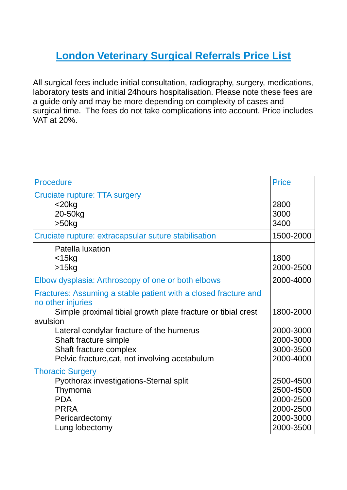## **London Veterinary Surgical Referrals Price List**

All surgical fees include initial consultation, radiography, surgery, medications, laboratory tests and initial 24hours hospitalisation. Please note these fees are a guide only and may be more depending on complexity of cases and surgical time. The fees do not take complications into account. Price includes VAT at 20%.

| <b>Procedure</b>                                                                                                                                                                                                                                                                                                  | <b>Price</b>                                                               |
|-------------------------------------------------------------------------------------------------------------------------------------------------------------------------------------------------------------------------------------------------------------------------------------------------------------------|----------------------------------------------------------------------------|
| <b>Cruciate rupture: TTA surgery</b><br>$<$ 20 $kg$<br>20-50kg<br>$>50$ kg                                                                                                                                                                                                                                        | 2800<br>3000<br>3400                                                       |
| Cruciate rupture: extracapsular suture stabilisation                                                                                                                                                                                                                                                              | 1500-2000                                                                  |
| Patella luxation<br>$<$ 15 $kg$<br>$>15$ kg                                                                                                                                                                                                                                                                       | 1800<br>2000-2500                                                          |
| Elbow dysplasia: Arthroscopy of one or both elbows                                                                                                                                                                                                                                                                | 2000-4000                                                                  |
| Fractures: Assuming a stable patient with a closed fracture and<br>no other injuries<br>Simple proximal tibial growth plate fracture or tibial crest<br>avulsion<br>Lateral condylar fracture of the humerus<br>Shaft fracture simple<br>Shaft fracture complex<br>Pelvic fracture, cat, not involving acetabulum | 1800-2000<br>2000-3000<br>2000-3000<br>3000-3500<br>2000-4000              |
| <b>Thoracic Surgery</b><br>Pyothorax investigations-Sternal split<br>Thymoma<br><b>PDA</b><br><b>PRRA</b><br>Pericardectomy<br>Lung lobectomy                                                                                                                                                                     | 2500-4500<br>2500-4500<br>2000-2500<br>2000-2500<br>2000-3000<br>2000-3500 |